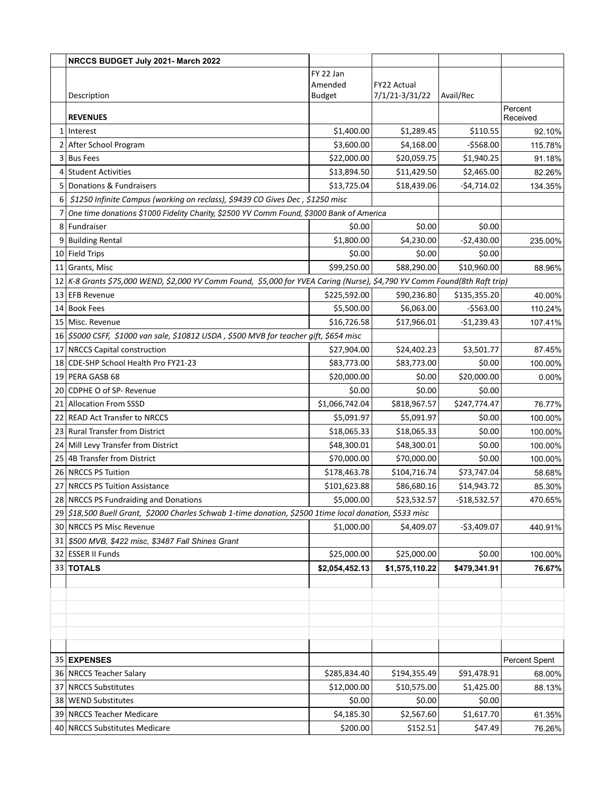|   | NRCCS BUDGET July 2021- March 2022                                                                                        |                |                |               |               |
|---|---------------------------------------------------------------------------------------------------------------------------|----------------|----------------|---------------|---------------|
|   |                                                                                                                           | FY 22 Jan      |                |               |               |
|   |                                                                                                                           | Amended        | FY22 Actual    |               |               |
|   | Description                                                                                                               | <b>Budget</b>  | 7/1/21-3/31/22 | Avail/Rec     | Percent       |
|   | <b>REVENUES</b>                                                                                                           |                |                |               | Received      |
|   | 1 Interest                                                                                                                | \$1,400.00     | \$1,289.45     | \$110.55      | 92.10%        |
| 2 | After School Program                                                                                                      | \$3,600.00     | \$4,168.00     | $-$568.00$    | 115.78%       |
|   | 3 Bus Fees                                                                                                                | \$22,000.00    | \$20,059.75    | \$1,940.25    | 91.18%        |
|   | 4 Student Activities                                                                                                      | \$13,894.50    | \$11,429.50    | \$2,465.00    | 82.26%        |
|   | 5 Donations & Fundraisers                                                                                                 | \$13,725.04    | \$18,439.06    | $-54,714.02$  | 134.35%       |
| 6 | \$1250 Infinite Campus (working on reclass), \$9439 CO Gives Dec, \$1250 misc                                             |                |                |               |               |
|   | One time donations \$1000 Fidelity Charity, \$2500 YV Comm Found, \$3000 Bank of America                                  |                |                |               |               |
|   | 8 Fundraiser                                                                                                              | \$0.00         | \$0.00         | \$0.00        |               |
|   | 9 Building Rental                                                                                                         | \$1,800.00     | \$4,230.00     | $-$2,430.00$  | 235.00%       |
|   | 10 Field Trips                                                                                                            | \$0.00         | \$0.00         | \$0.00        |               |
|   | 11 Grants, Misc                                                                                                           | \$99,250.00    | \$88,290.00    | \$10,960.00   | 88.96%        |
|   | 12 K-8 Grants \$75,000 WEND, \$2,000 YV Comm Found, \$5,000 for YVEA Caring (Nurse), \$4,790 YV Comm Found(8th Raft trip) |                |                |               |               |
|   | 13 EFB Revenue                                                                                                            | \$225,592.00   | \$90,236.80    | \$135,355.20  | 40.00%        |
|   | 14 Book Fees                                                                                                              | \$5,500.00     | \$6,063.00     | $-5563.00$    | 110.24%       |
|   | 15   Misc. Revenue                                                                                                        | \$16,726.58    | \$17,966.01    | $-$1,239.43$  | 107.41%       |
|   | 16 \$5000 CSFF, \$1000 van sale, \$10812 USDA, \$500 MVB for teacher gift, \$654 misc                                     |                |                |               |               |
|   | 17 NRCCS Capital construction                                                                                             | \$27,904.00    | \$24,402.23    | \$3,501.77    | 87.45%        |
|   | 18 CDE-SHP School Health Pro FY21-23                                                                                      | \$83,773.00    | \$83,773.00    | \$0.00        | 100.00%       |
|   | 19 PERA GASB 68                                                                                                           | \$20,000.00    | \$0.00         | \$20,000.00   | $0.00\%$      |
|   | 20 CDPHE O of SP- Revenue                                                                                                 | \$0.00         | \$0.00         | \$0.00        |               |
|   | 21 Allocation From SSSD                                                                                                   | \$1,066,742.04 | \$818,967.57   | \$247,774.47  | 76.77%        |
|   | 22 READ Act Transfer to NRCCS                                                                                             | \$5,091.97     | \$5,091.97     | \$0.00        | 100.00%       |
|   | 23 Rural Transfer from District                                                                                           | \$18,065.33    | \$18,065.33    | \$0.00        | 100.00%       |
|   | 24 Mill Levy Transfer from District                                                                                       | \$48,300.01    | \$48,300.01    | \$0.00        | 100.00%       |
|   | 25 4B Transfer from District                                                                                              | \$70,000.00    | \$70,000.00    | \$0.00        | 100.00%       |
|   | 26 NRCCS PS Tuition                                                                                                       | \$178,463.78   | \$104,716.74   | \$73,747.04   | 58.68%        |
|   | 27   NRCCS PS Tuition Assistance                                                                                          | \$101,623.88   | \$86,680.16    | \$14,943.72   | 85.30%        |
|   | 28 NRCCS PS Fundraiding and Donations                                                                                     | \$5,000.00     | \$23,532.57    | $-$18,532.57$ | 470.65%       |
|   | 29 \$18,500 Buell Grant, \$2000 Charles Schwab 1-time donation, \$2500 1time local donation, \$533 misc                   |                |                |               |               |
|   | 30 NRCCS PS Misc Revenue                                                                                                  | \$1,000.00     | \$4,409.07     | $-$3,409.07$  | 440.91%       |
|   | 31 \$500 MVB, \$422 misc, \$3487 Fall Shines Grant                                                                        |                |                |               |               |
|   | 32 ESSER II Funds                                                                                                         | \$25,000.00    | \$25,000.00    | \$0.00        | 100.00%       |
|   | 33 TOTALS                                                                                                                 | \$2,054,452.13 | \$1,575,110.22 | \$479,341.91  | 76.67%        |
|   |                                                                                                                           |                |                |               |               |
|   |                                                                                                                           |                |                |               |               |
|   |                                                                                                                           |                |                |               |               |
|   |                                                                                                                           |                |                |               |               |
|   |                                                                                                                           |                |                |               |               |
|   | 35 EXPENSES                                                                                                               |                |                |               | Percent Spent |
|   | 36 NRCCS Teacher Salary                                                                                                   | \$285,834.40   | \$194,355.49   | \$91,478.91   | 68.00%        |
|   | 37   NRCCS Substitutes                                                                                                    | \$12,000.00    | \$10,575.00    | \$1,425.00    | 88.13%        |
|   | 38 WEND Substitutes                                                                                                       | \$0.00         | \$0.00         | \$0.00        |               |
|   | 39 NRCCS Teacher Medicare                                                                                                 | \$4,185.30     | \$2,567.60     | \$1,617.70    | 61.35%        |
|   | 40 NRCCS Substitutes Medicare                                                                                             | \$200.00       | \$152.51       | \$47.49       | 76.26%        |
|   |                                                                                                                           |                |                |               |               |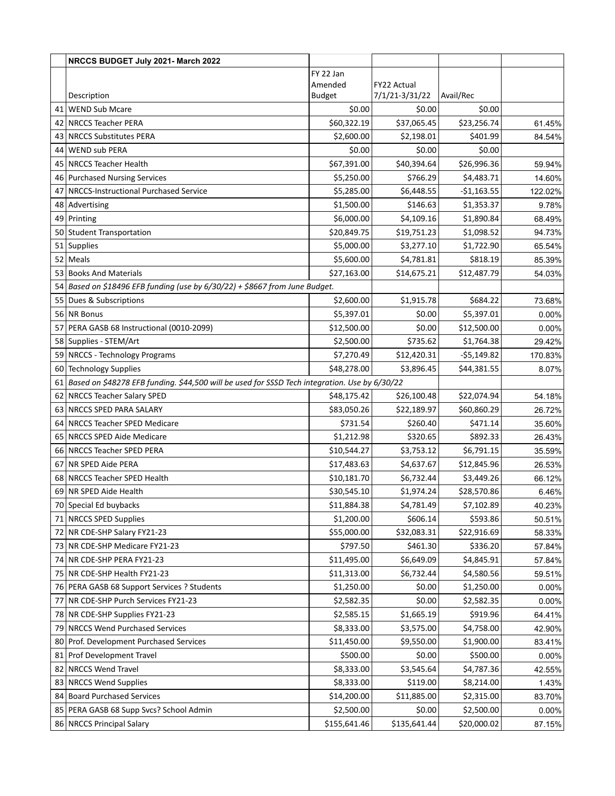| FY 22 Jan<br>Amended<br><b>FY22 Actual</b><br>Description<br><b>Budget</b><br>7/1/21-3/31/22<br>Avail/Rec<br>41<br>WEND Sub Mcare<br>\$0.00<br>\$0.00<br>\$0.00<br>\$60,322.19<br>\$37,065.45<br>\$23,256.74<br>NRCCS Teacher PERA<br>42<br>\$2,600.00<br>\$401.99<br>43   NRCCS Substitutes PERA<br>\$2,198.01<br>WEND sub PERA<br>\$0.00<br>\$0.00<br>\$0.00<br>44<br>NRCCS Teacher Health<br>\$67,391.00<br>\$40,394.64<br>\$26,996.36<br>45<br>\$5,250.00<br>\$766.29<br>\$4,483.71<br>46 Purchased Nursing Services<br>NRCCS-Instructional Purchased Service<br>\$5,285.00<br>47<br>\$6,448.55<br>$-$1,163.55$<br>Advertising<br>\$1,500.00<br>\$146.63<br>\$1,353.37<br>48<br>\$6,000.00<br>\$4,109.16<br>49 Printing<br>\$1,890.84<br>50 Student Transportation<br>\$20,849.75<br>\$19,751.23<br>\$1,098.52<br>\$5,000.00<br>51 Supplies<br>\$3,277.10<br>\$1,722.90<br>52 Meals | NRCCS BUDGET July 2021- March 2022 |            |            |          |          |
|-----------------------------------------------------------------------------------------------------------------------------------------------------------------------------------------------------------------------------------------------------------------------------------------------------------------------------------------------------------------------------------------------------------------------------------------------------------------------------------------------------------------------------------------------------------------------------------------------------------------------------------------------------------------------------------------------------------------------------------------------------------------------------------------------------------------------------------------------------------------------------------------|------------------------------------|------------|------------|----------|----------|
|                                                                                                                                                                                                                                                                                                                                                                                                                                                                                                                                                                                                                                                                                                                                                                                                                                                                                         |                                    |            |            |          |          |
|                                                                                                                                                                                                                                                                                                                                                                                                                                                                                                                                                                                                                                                                                                                                                                                                                                                                                         |                                    |            |            |          |          |
|                                                                                                                                                                                                                                                                                                                                                                                                                                                                                                                                                                                                                                                                                                                                                                                                                                                                                         |                                    |            |            |          |          |
|                                                                                                                                                                                                                                                                                                                                                                                                                                                                                                                                                                                                                                                                                                                                                                                                                                                                                         |                                    |            |            |          |          |
|                                                                                                                                                                                                                                                                                                                                                                                                                                                                                                                                                                                                                                                                                                                                                                                                                                                                                         |                                    |            |            |          | 61.45%   |
|                                                                                                                                                                                                                                                                                                                                                                                                                                                                                                                                                                                                                                                                                                                                                                                                                                                                                         |                                    |            |            |          | 84.54%   |
|                                                                                                                                                                                                                                                                                                                                                                                                                                                                                                                                                                                                                                                                                                                                                                                                                                                                                         |                                    |            |            |          |          |
|                                                                                                                                                                                                                                                                                                                                                                                                                                                                                                                                                                                                                                                                                                                                                                                                                                                                                         |                                    |            |            |          | 59.94%   |
|                                                                                                                                                                                                                                                                                                                                                                                                                                                                                                                                                                                                                                                                                                                                                                                                                                                                                         |                                    |            |            |          | 14.60%   |
|                                                                                                                                                                                                                                                                                                                                                                                                                                                                                                                                                                                                                                                                                                                                                                                                                                                                                         |                                    |            |            |          | 122.02%  |
|                                                                                                                                                                                                                                                                                                                                                                                                                                                                                                                                                                                                                                                                                                                                                                                                                                                                                         |                                    |            |            |          | 9.78%    |
|                                                                                                                                                                                                                                                                                                                                                                                                                                                                                                                                                                                                                                                                                                                                                                                                                                                                                         |                                    |            |            |          | 68.49%   |
|                                                                                                                                                                                                                                                                                                                                                                                                                                                                                                                                                                                                                                                                                                                                                                                                                                                                                         |                                    |            |            |          | 94.73%   |
|                                                                                                                                                                                                                                                                                                                                                                                                                                                                                                                                                                                                                                                                                                                                                                                                                                                                                         |                                    |            |            |          | 65.54%   |
|                                                                                                                                                                                                                                                                                                                                                                                                                                                                                                                                                                                                                                                                                                                                                                                                                                                                                         |                                    | \$5,600.00 | \$4,781.81 | \$818.19 | 85.39%   |
| \$27,163.00<br>\$12,487.79<br>53 Books And Materials<br>\$14,675.21                                                                                                                                                                                                                                                                                                                                                                                                                                                                                                                                                                                                                                                                                                                                                                                                                     |                                    |            |            |          | 54.03%   |
| 54 Based on \$18496 EFB funding (use by $6/30/22$ ) + \$8667 from June Budget.                                                                                                                                                                                                                                                                                                                                                                                                                                                                                                                                                                                                                                                                                                                                                                                                          |                                    |            |            |          |          |
| 55 Dues & Subscriptions<br>\$2,600.00<br>\$1,915.78<br>\$684.22                                                                                                                                                                                                                                                                                                                                                                                                                                                                                                                                                                                                                                                                                                                                                                                                                         |                                    |            |            |          | 73.68%   |
| NR Bonus<br>56<br>\$5,397.01<br>\$0.00<br>\$5,397.01                                                                                                                                                                                                                                                                                                                                                                                                                                                                                                                                                                                                                                                                                                                                                                                                                                    |                                    |            |            |          | 0.00%    |
| 57<br>PERA GASB 68 Instructional (0010-2099)<br>\$12,500.00<br>\$0.00<br>\$12,500.00                                                                                                                                                                                                                                                                                                                                                                                                                                                                                                                                                                                                                                                                                                                                                                                                    |                                    |            |            |          | 0.00%    |
| \$2,500.00<br>\$735.62<br>\$1,764.38<br>58 Supplies - STEM/Art                                                                                                                                                                                                                                                                                                                                                                                                                                                                                                                                                                                                                                                                                                                                                                                                                          |                                    |            |            |          | 29.42%   |
| \$12,420.31<br>59   NRCCS - Technology Programs<br>\$7,270.49<br>$-55,149.82$                                                                                                                                                                                                                                                                                                                                                                                                                                                                                                                                                                                                                                                                                                                                                                                                           |                                    |            |            |          | 170.83%  |
| 60 Technology Supplies<br>\$48,278.00<br>\$3,896.45<br>\$44,381.55                                                                                                                                                                                                                                                                                                                                                                                                                                                                                                                                                                                                                                                                                                                                                                                                                      |                                    |            |            |          | 8.07%    |
| 61 Based on \$48278 EFB funding. \$44,500 will be used for SSSD Tech integration. Use by 6/30/22                                                                                                                                                                                                                                                                                                                                                                                                                                                                                                                                                                                                                                                                                                                                                                                        |                                    |            |            |          |          |
| \$48,175.42<br>\$26,100.48<br>\$22,074.94<br>62 NRCCS Teacher Salary SPED                                                                                                                                                                                                                                                                                                                                                                                                                                                                                                                                                                                                                                                                                                                                                                                                               |                                    |            |            |          | 54.18%   |
| 63<br>NRCCS SPED PARA SALARY<br>\$83,050.26<br>\$22,189.97<br>\$60,860.29                                                                                                                                                                                                                                                                                                                                                                                                                                                                                                                                                                                                                                                                                                                                                                                                               |                                    |            |            |          | 26.72%   |
| 64 NRCCS Teacher SPED Medicare<br>\$731.54<br>\$260.40<br>\$471.14                                                                                                                                                                                                                                                                                                                                                                                                                                                                                                                                                                                                                                                                                                                                                                                                                      |                                    |            |            |          | 35.60%   |
| 65 NRCCS SPED Aide Medicare<br>\$1,212.98<br>\$320.65<br>\$892.33                                                                                                                                                                                                                                                                                                                                                                                                                                                                                                                                                                                                                                                                                                                                                                                                                       |                                    |            |            |          | 26.43%   |
| 66 NRCCS Teacher SPED PERA<br>\$10,544.27<br>\$6,791.15<br>\$3,753.12                                                                                                                                                                                                                                                                                                                                                                                                                                                                                                                                                                                                                                                                                                                                                                                                                   |                                    |            |            |          | 35.59%   |
| 67<br> NR SPED Aide PERA<br>\$17,483.63<br>\$4,637.67<br>\$12,845.96                                                                                                                                                                                                                                                                                                                                                                                                                                                                                                                                                                                                                                                                                                                                                                                                                    |                                    |            |            |          | 26.53%   |
| \$10,181.70<br>68 NRCCS Teacher SPED Health<br>\$6,732.44<br>\$3,449.26                                                                                                                                                                                                                                                                                                                                                                                                                                                                                                                                                                                                                                                                                                                                                                                                                 |                                    |            |            |          | 66.12%   |
| 69 NR SPED Aide Health<br>\$30,545.10<br>\$1,974.24<br>\$28,570.86                                                                                                                                                                                                                                                                                                                                                                                                                                                                                                                                                                                                                                                                                                                                                                                                                      |                                    |            |            |          | 6.46%    |
| 70 Special Ed buybacks<br>\$4,781.49<br>\$7,102.89<br>\$11,884.38                                                                                                                                                                                                                                                                                                                                                                                                                                                                                                                                                                                                                                                                                                                                                                                                                       |                                    |            |            |          | 40.23%   |
| 71 NRCCS SPED Supplies<br>\$1,200.00<br>\$606.14<br>\$593.86                                                                                                                                                                                                                                                                                                                                                                                                                                                                                                                                                                                                                                                                                                                                                                                                                            |                                    |            |            |          | 50.51%   |
| \$55,000.00<br>\$32,083.31<br>\$22,916.69<br>72 NR CDE-SHP Salary FY21-23                                                                                                                                                                                                                                                                                                                                                                                                                                                                                                                                                                                                                                                                                                                                                                                                               |                                    |            |            |          | 58.33%   |
| \$797.50<br>73 NR CDE-SHP Medicare FY21-23<br>\$461.30<br>\$336.20                                                                                                                                                                                                                                                                                                                                                                                                                                                                                                                                                                                                                                                                                                                                                                                                                      |                                    |            |            |          | 57.84%   |
| 74 NR CDE-SHP PERA FY21-23<br>\$11,495.00<br>\$6,649.09<br>\$4,845.91                                                                                                                                                                                                                                                                                                                                                                                                                                                                                                                                                                                                                                                                                                                                                                                                                   |                                    |            |            |          | 57.84%   |
| 75 NR CDE-SHP Health FY21-23<br>\$11,313.00<br>\$4,580.56<br>\$6,732.44                                                                                                                                                                                                                                                                                                                                                                                                                                                                                                                                                                                                                                                                                                                                                                                                                 |                                    |            |            |          | 59.51%   |
| 76 PERA GASB 68 Support Services ? Students<br>\$1,250.00<br>\$1,250.00<br>\$0.00                                                                                                                                                                                                                                                                                                                                                                                                                                                                                                                                                                                                                                                                                                                                                                                                       |                                    |            |            |          | 0.00%    |
| \$2,582.35<br>\$0.00<br>77 NR CDE-SHP Purch Services FY21-23<br>\$2,582.35                                                                                                                                                                                                                                                                                                                                                                                                                                                                                                                                                                                                                                                                                                                                                                                                              |                                    |            |            |          | 0.00%    |
| 78 NR CDE-SHP Supplies FY21-23<br>\$2,585.15<br>\$1,665.19<br>\$919.96                                                                                                                                                                                                                                                                                                                                                                                                                                                                                                                                                                                                                                                                                                                                                                                                                  |                                    |            |            |          | 64.41%   |
| 79<br>NRCCS Wend Purchased Services<br>\$8,333.00<br>\$3,575.00<br>\$4,758.00                                                                                                                                                                                                                                                                                                                                                                                                                                                                                                                                                                                                                                                                                                                                                                                                           |                                    |            |            |          | 42.90%   |
| Prof. Development Purchased Services<br>\$11,450.00<br>\$9,550.00<br>80<br>\$1,900.00                                                                                                                                                                                                                                                                                                                                                                                                                                                                                                                                                                                                                                                                                                                                                                                                   |                                    |            |            |          | 83.41%   |
| \$500.00<br>\$500.00<br>81 Prof Development Travel<br>\$0.00                                                                                                                                                                                                                                                                                                                                                                                                                                                                                                                                                                                                                                                                                                                                                                                                                            |                                    |            |            |          | $0.00\%$ |
| 82 NRCCS Wend Travel<br>\$8,333.00<br>\$3,545.64<br>\$4,787.36                                                                                                                                                                                                                                                                                                                                                                                                                                                                                                                                                                                                                                                                                                                                                                                                                          |                                    |            |            |          | 42.55%   |
| 83 NRCCS Wend Supplies<br>\$8,333.00<br>\$119.00<br>\$8,214.00                                                                                                                                                                                                                                                                                                                                                                                                                                                                                                                                                                                                                                                                                                                                                                                                                          |                                    |            |            |          | 1.43%    |
| 84 Board Purchased Services<br>\$14,200.00<br>\$11,885.00<br>\$2,315.00                                                                                                                                                                                                                                                                                                                                                                                                                                                                                                                                                                                                                                                                                                                                                                                                                 |                                    |            |            |          | 83.70%   |
| 85 PERA GASB 68 Supp Svcs? School Admin<br>\$2,500.00<br>\$0.00<br>\$2,500.00                                                                                                                                                                                                                                                                                                                                                                                                                                                                                                                                                                                                                                                                                                                                                                                                           |                                    |            |            |          | $0.00\%$ |
| 86 NRCCS Principal Salary<br>\$155,641.46<br>\$135,641.44<br>\$20,000.02                                                                                                                                                                                                                                                                                                                                                                                                                                                                                                                                                                                                                                                                                                                                                                                                                |                                    |            |            |          | 87.15%   |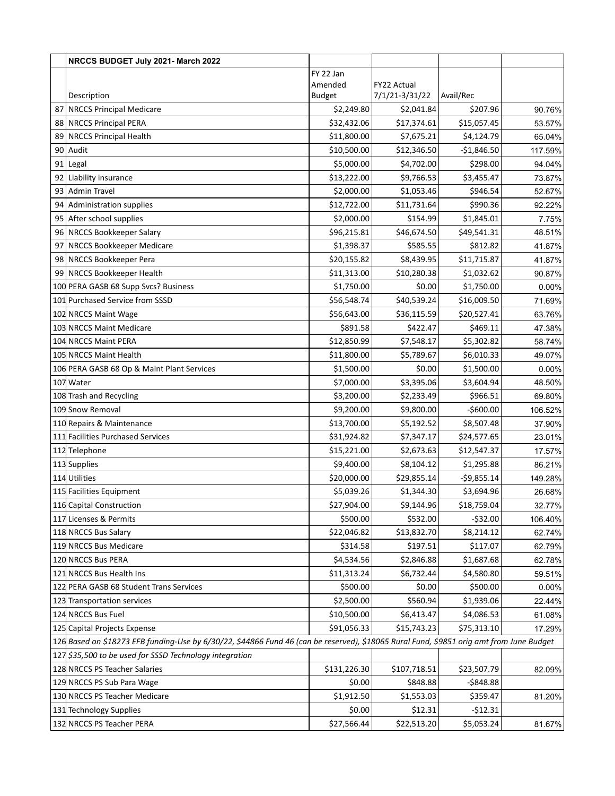|    | NRCCS BUDGET July 2021- March 2022                                                                                                       |               |                |              |          |
|----|------------------------------------------------------------------------------------------------------------------------------------------|---------------|----------------|--------------|----------|
|    |                                                                                                                                          | FY 22 Jan     |                |              |          |
|    |                                                                                                                                          | Amended       | FY22 Actual    |              |          |
|    | Description                                                                                                                              | <b>Budget</b> | 7/1/21-3/31/22 | Avail/Rec    |          |
| 87 | NRCCS Principal Medicare                                                                                                                 | \$2,249.80    | \$2,041.84     | \$207.96     | 90.76%   |
|    | 88 NRCCS Principal PERA                                                                                                                  | \$32,432.06   | \$17,374.61    | \$15,057.45  | 53.57%   |
|    | 89 NRCCS Principal Health                                                                                                                | \$11,800.00   | \$7,675.21     | \$4,124.79   | 65.04%   |
| 90 | Audit                                                                                                                                    | \$10,500.00   | \$12,346.50    | $-$1,846.50$ | 117.59%  |
| 91 | Legal                                                                                                                                    | \$5,000.00    | \$4,702.00     | \$298.00     | 94.04%   |
|    | 92 Liability insurance                                                                                                                   | \$13,222.00   | \$9,766.53     | \$3,455.47   | 73.87%   |
|    | 93 Admin Travel                                                                                                                          | \$2,000.00    | \$1,053.46     | \$946.54     | 52.67%   |
|    | 94 Administration supplies                                                                                                               | \$12,722.00   | \$11,731.64    | \$990.36     | 92.22%   |
|    | 95 After school supplies                                                                                                                 | \$2,000.00    | \$154.99       | \$1,845.01   | 7.75%    |
|    | 96 NRCCS Bookkeeper Salary                                                                                                               | \$96,215.81   | \$46,674.50    | \$49,541.31  | 48.51%   |
| 97 | NRCCS Bookkeeper Medicare                                                                                                                | \$1,398.37    | \$585.55       | \$812.82     | 41.87%   |
| 98 | <b>NRCCS Bookkeeper Pera</b>                                                                                                             | \$20,155.82   | \$8,439.95     | \$11,715.87  | 41.87%   |
| 99 | NRCCS Bookkeeper Health                                                                                                                  | \$11,313.00   | \$10,280.38    | \$1,032.62   | 90.87%   |
|    | 100 PERA GASB 68 Supp Svcs? Business                                                                                                     | \$1,750.00    | \$0.00         | \$1,750.00   | 0.00%    |
|    | 101 Purchased Service from SSSD                                                                                                          | \$56,548.74   | \$40,539.24    | \$16,009.50  | 71.69%   |
|    | 102 NRCCS Maint Wage                                                                                                                     | \$56,643.00   | \$36,115.59    | \$20,527.41  | 63.76%   |
|    | 103 NRCCS Maint Medicare                                                                                                                 | \$891.58      | \$422.47       | \$469.11     | 47.38%   |
|    | 104 NRCCS Maint PERA                                                                                                                     | \$12,850.99   | \$7,548.17     | \$5,302.82   | 58.74%   |
|    | 105 NRCCS Maint Health                                                                                                                   | \$11,800.00   | \$5,789.67     | \$6,010.33   | 49.07%   |
|    | 106 PERA GASB 68 Op & Maint Plant Services                                                                                               | \$1,500.00    | \$0.00         | \$1,500.00   | 0.00%    |
|    | 107 Water                                                                                                                                | \$7,000.00    | \$3,395.06     | \$3,604.94   | 48.50%   |
|    | 108 Trash and Recycling                                                                                                                  | \$3,200.00    | \$2,233.49     | \$966.51     | 69.80%   |
|    | 109 Snow Removal                                                                                                                         | \$9,200.00    | \$9,800.00     | $-$600.00$   | 106.52%  |
|    | 110 Repairs & Maintenance                                                                                                                | \$13,700.00   | \$5,192.52     | \$8,507.48   | 37.90%   |
|    | 111 Facilities Purchased Services                                                                                                        | \$31,924.82   | \$7,347.17     | \$24,577.65  | 23.01%   |
|    | 112 Telephone                                                                                                                            | \$15,221.00   | \$2,673.63     | \$12,547.37  | 17.57%   |
|    | 113 Supplies                                                                                                                             | \$9,400.00    | \$8,104.12     | \$1,295.88   | 86.21%   |
|    | 114 Utilities                                                                                                                            | \$20,000.00   | \$29,855.14    | $-$9,855.14$ | 149.28%  |
|    | 115 Facilities Equipment                                                                                                                 | \$5,039.26    | \$1,344.30     | \$3,694.96   | 26.68%   |
|    | 116 Capital Construction                                                                                                                 | \$27,904.00   | \$9,144.96     | \$18,759.04  | 32.77%   |
|    | 117 Licenses & Permits                                                                                                                   | \$500.00      | \$532.00       | $-532.00$    | 106.40%  |
|    | 118 NRCCS Bus Salary                                                                                                                     | \$22,046.82   | \$13,832.70    | \$8,214.12   | 62.74%   |
|    | 119 NRCCS Bus Medicare                                                                                                                   | \$314.58      | \$197.51       | \$117.07     | 62.79%   |
|    | 120 NRCCS Bus PERA                                                                                                                       | \$4,534.56    | \$2,846.88     | \$1,687.68   | 62.78%   |
|    | 121 NRCCS Bus Health Ins                                                                                                                 | \$11,313.24   | \$6,732.44     | \$4,580.80   | 59.51%   |
|    | 122 PERA GASB 68 Student Trans Services                                                                                                  | \$500.00      | \$0.00         | \$500.00     | $0.00\%$ |
|    | 123 Transportation services                                                                                                              | \$2,500.00    | \$560.94       | \$1,939.06   | 22.44%   |
|    | 124 NRCCS Bus Fuel                                                                                                                       | \$10,500.00   | \$6,413.47     | \$4,086.53   | 61.08%   |
|    | 125 Capital Projects Expense                                                                                                             | \$91,056.33   | \$15,743.23    | \$75,313.10  | 17.29%   |
|    | 126 Based on \$18273 EFB funding-Use by 6/30/22, \$44866 Fund 46 (can be reserved), \$18065 Rural Fund, \$9851 orig amt from June Budget |               |                |              |          |
|    | 127 \$35,500 to be used for SSSD Technology integration                                                                                  |               |                |              |          |
|    | 128 NRCCS PS Teacher Salaries                                                                                                            | \$131,226.30  | \$107,718.51   | \$23,507.79  | 82.09%   |
|    | 129 NRCCS PS Sub Para Wage                                                                                                               | \$0.00        | \$848.88       | $-5848.88$   |          |
|    | 130 NRCCS PS Teacher Medicare                                                                                                            | \$1,912.50    | \$1,553.03     | \$359.47     | 81.20%   |
|    | 131 Technology Supplies                                                                                                                  | \$0.00        | \$12.31        | $-512.31$    |          |
|    | 132 NRCCS PS Teacher PERA                                                                                                                | \$27,566.44   | \$22,513.20    | \$5,053.24   | 81.67%   |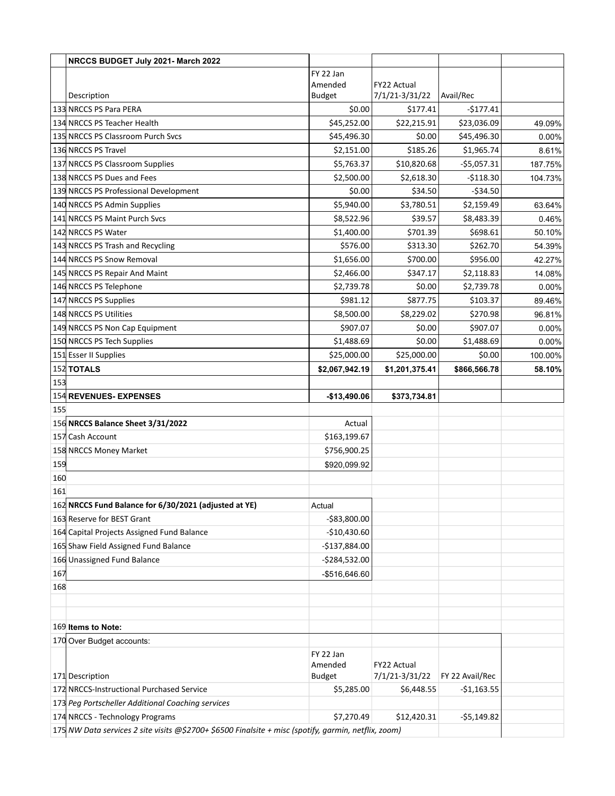|     | NRCCS BUDGET July 2021- March 2022                                                                   |                          |                               |                 |         |
|-----|------------------------------------------------------------------------------------------------------|--------------------------|-------------------------------|-----------------|---------|
|     |                                                                                                      | FY 22 Jan                |                               |                 |         |
|     |                                                                                                      | Amended                  | FY22 Actual                   |                 |         |
|     | Description                                                                                          | <b>Budget</b>            | 7/1/21-3/31/22                | Avail/Rec       |         |
|     | 133 NRCCS PS Para PERA                                                                               | \$0.00                   | \$177.41                      | $-5177.41$      |         |
|     | 134 NRCCS PS Teacher Health                                                                          | \$45,252.00              | \$22,215.91                   | \$23,036.09     | 49.09%  |
|     | 135 NRCCS PS Classroom Purch Svcs                                                                    | \$45,496.30              | \$0.00                        | \$45,496.30     | 0.00%   |
|     | 136 NRCCS PS Travel                                                                                  | \$2,151.00               | \$185.26                      | \$1,965.74      | 8.61%   |
|     | 137 NRCCS PS Classroom Supplies                                                                      | \$5,763.37               | \$10,820.68                   | $-$5,057.31$    | 187.75% |
|     | 138 NRCCS PS Dues and Fees                                                                           | \$2,500.00               | \$2,618.30                    | $-5118.30$      | 104.73% |
|     | 139 NRCCS PS Professional Development                                                                | \$0.00                   | \$34.50                       | $-534.50$       |         |
|     | 140 NRCCS PS Admin Supplies                                                                          | \$5,940.00               | \$3,780.51                    | \$2,159.49      | 63.64%  |
|     | 141 NRCCS PS Maint Purch Svcs                                                                        | \$8,522.96               | \$39.57                       | \$8,483.39      | 0.46%   |
|     | 142 NRCCS PS Water                                                                                   | \$1,400.00               | \$701.39                      | \$698.61        | 50.10%  |
|     | 143 NRCCS PS Trash and Recycling                                                                     | \$576.00                 | \$313.30                      | \$262.70        | 54.39%  |
|     | 144 NRCCS PS Snow Removal                                                                            | \$1,656.00               | \$700.00                      | \$956.00        | 42.27%  |
|     | 145 NRCCS PS Repair And Maint                                                                        | \$2,466.00               | \$347.17                      | \$2,118.83      | 14.08%  |
|     | 146 NRCCS PS Telephone                                                                               | \$2,739.78               | \$0.00                        | \$2,739.78      | 0.00%   |
|     | 147 NRCCS PS Supplies                                                                                | \$981.12                 | \$877.75                      | \$103.37        | 89.46%  |
|     | 148 NRCCS PS Utilities                                                                               | \$8,500.00               | \$8,229.02                    | \$270.98        | 96.81%  |
|     | 149 NRCCS PS Non Cap Equipment                                                                       | \$907.07                 | \$0.00                        | \$907.07        | 0.00%   |
|     | 150 NRCCS PS Tech Supplies                                                                           | \$1,488.69               | \$0.00                        | \$1,488.69      | 0.00%   |
|     | 151 Esser II Supplies                                                                                | \$25,000.00              | \$25,000.00                   | \$0.00          | 100.00% |
|     | 152 TOTALS                                                                                           | \$2,067,942.19           | \$1,201,375.41                | \$866,566.78    | 58.10%  |
| 153 |                                                                                                      |                          |                               |                 |         |
|     | 154 REVENUES- EXPENSES                                                                               | -\$13,490.06             | \$373,734.81                  |                 |         |
| 155 |                                                                                                      |                          |                               |                 |         |
|     | 156 NRCCS Balance Sheet 3/31/2022                                                                    | Actual                   |                               |                 |         |
|     | 157 Cash Account                                                                                     | \$163,199.67             |                               |                 |         |
|     | 158 NRCCS Money Market                                                                               | \$756,900.25             |                               |                 |         |
| 159 |                                                                                                      | \$920,099.92             |                               |                 |         |
| 160 |                                                                                                      |                          |                               |                 |         |
| 161 |                                                                                                      |                          |                               |                 |         |
|     | 162 NRCCS Fund Balance for 6/30/2021 (adjusted at YE)                                                | Actual                   |                               |                 |         |
|     | 163 Reserve for BEST Grant                                                                           | -\$83,800.00             |                               |                 |         |
|     | 164 Capital Projects Assigned Fund Balance                                                           | $-$10,430.60$            |                               |                 |         |
|     | 165 Shaw Field Assigned Fund Balance                                                                 | $-$137,884.00$           |                               |                 |         |
|     | 166 Unassigned Fund Balance                                                                          | $-$284,532.00$           |                               |                 |         |
| 167 |                                                                                                      | -\$516,646.60            |                               |                 |         |
| 168 |                                                                                                      |                          |                               |                 |         |
|     |                                                                                                      |                          |                               |                 |         |
|     |                                                                                                      |                          |                               |                 |         |
|     | 169 Items to Note:                                                                                   |                          |                               |                 |         |
|     | 170 Over Budget accounts:                                                                            |                          |                               |                 |         |
|     |                                                                                                      | FY 22 Jan                |                               |                 |         |
|     | 171 Description                                                                                      | Amended<br><b>Budget</b> | FY22 Actual<br>7/1/21-3/31/22 | FY 22 Avail/Rec |         |
|     | 172 NRCCS-Instructional Purchased Service                                                            | \$5,285.00               | \$6,448.55                    | $-$1,163.55$    |         |
|     | 173 Peg Portscheller Additional Coaching services                                                    |                          |                               |                 |         |
|     | 174 NRCCS - Technology Programs                                                                      | \$7,270.49               | \$12,420.31                   | $-55,149.82$    |         |
|     | 175 NW Data services 2 site visits @\$2700+ \$6500 Finalsite + misc (spotify, garmin, netflix, zoom) |                          |                               |                 |         |